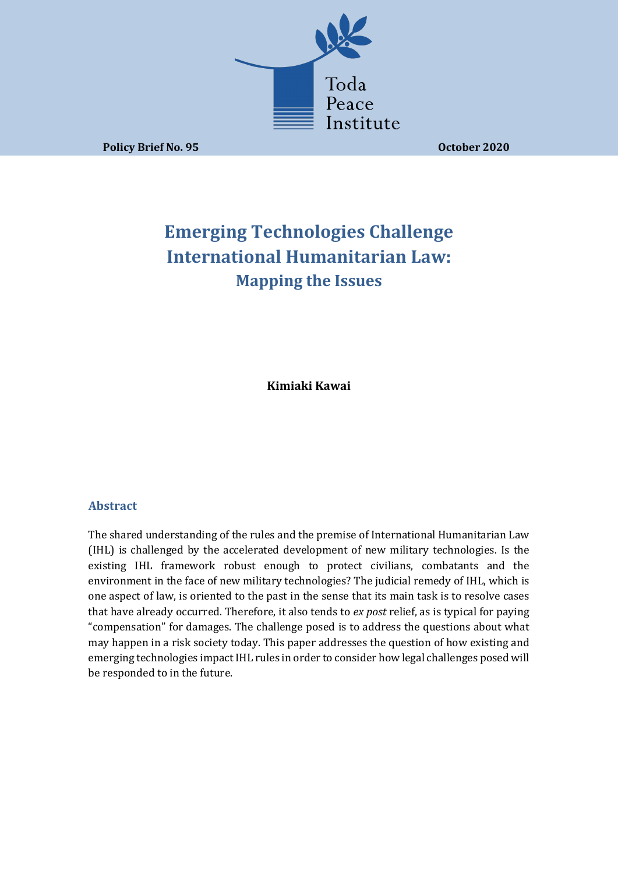

**Policy Brief No. 95 October 2020** 

# **Emerging Technologies Challenge International Humanitarian Law: Mapping the Issues**

**Kimiaki Kawai**

# **Abstract**

The shared understanding of the rules and the premise of International Humanitarian Law (IHL) is challenged by the accelerated development of new military technologies. Is the existing IHL framework robust enough to protect civilians, combatants and the environment in the face of new military technologies? The judicial remedy of IHL, which is one aspect of law, is oriented to the past in the sense that its main task is to resolve cases that have already occurred. Therefore, it also tends to ex post relief, as is typical for paying "compensation" for damages. The challenge posed is to address the questions about what may happen in a risk society today. This paper addresses the question of how existing and emerging technologies impact IHL rules in order to consider how legal challenges posed will be responded to in the future.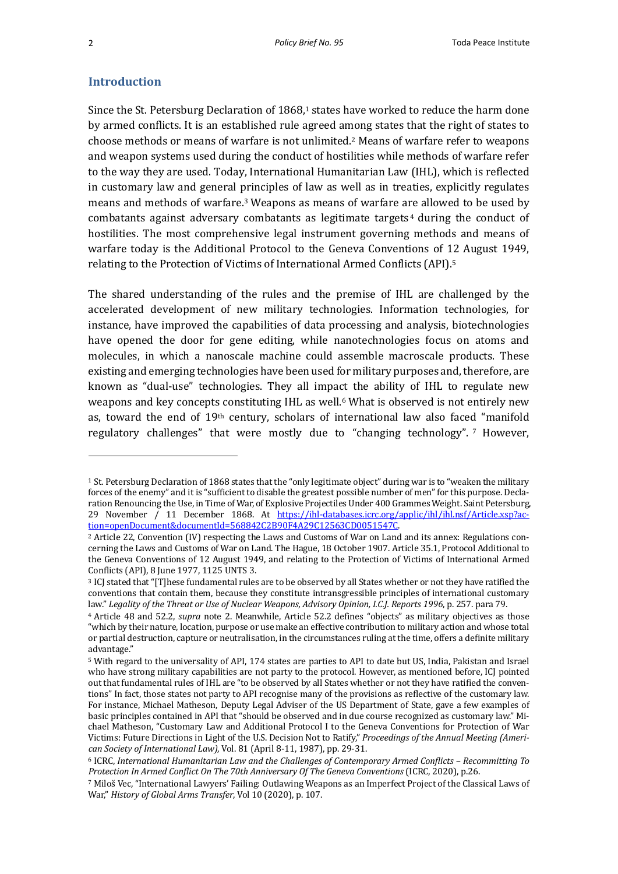## **Introduction**

Since the St. Petersburg Declaration of  $1868<sup>1</sup>$  states have worked to reduce the harm done by armed conflicts. It is an established rule agreed among states that the right of states to choose methods or means of warfare is not unlimited.<sup>2</sup> Means of warfare refer to weapons and weapon systems used during the conduct of hostilities while methods of warfare refer to the way they are used. Today, International Humanitarian Law (IHL), which is reflected in customary law and general principles of law as well as in treaties, explicitly regulates means and methods of warfare.<sup>3</sup> Weapons as means of warfare are allowed to be used by combatants against adversary combatants as legitimate targets<sup>4</sup> during the conduct of hostilities. The most comprehensive legal instrument governing methods and means of warfare today is the Additional Protocol to the Geneva Conventions of 12 August 1949, relating to the Protection of Victims of International Armed Conflicts (API).<sup>5</sup>

The shared understanding of the rules and the premise of IHL are challenged by the accelerated development of new military technologies. Information technologies, for instance, have improved the capabilities of data processing and analysis, biotechnologies have opened the door for gene editing, while nanotechnologies focus on atoms and molecules, in which a nanoscale machine could assemble macroscale products. These existing and emerging technologies have been used for military purposes and, therefore, are known as "dual-use" technologies. They all impact the ability of IHL to regulate new weapons and key concepts constituting  $IHL$  as well.<sup>6</sup> What is observed is not entirely new as, toward the end of 19<sup>th</sup> century, scholars of international law also faced "manifold regulatory challenges" that were mostly due to "changing technology". 7 However,

<sup>&</sup>lt;sup>1</sup> St. Petersburg Declaration of 1868 states that the "only legitimate object" during war is to "weaken the military forces of the enemy" and it is "sufficient to disable the greatest possible number of men" for this purpose. Declaration Renouncing the Use, in Time of War, of Explosive Projectiles Under 400 Grammes Weight. Saint Petersburg, 29 November / 11 December 1868. At https://ihl-databases.icrc.org/applic/ihl/ihl.nsf/Article.xsp?action=openDocument&documentId=568842C2B90F4A29C12563CD0051547C.

<sup>&</sup>lt;sup>2</sup> Article 22, Convention (IV) respecting the Laws and Customs of War on Land and its annex: Regulations concerning the Laws and Customs of War on Land. The Hague, 18 October 1907. Article 35.1, Protocol Additional to the Geneva Conventions of 12 August 1949, and relating to the Protection of Victims of International Armed Conflicts (API), 8 June 1977, 1125 UNTS 3.

<sup>&</sup>lt;sup>3</sup> ICJ stated that "[T]hese fundamental rules are to be observed by all States whether or not they have ratified the conventions that contain them, because they constitute intransgressible principles of international customary law." Legality of the Threat or Use of Nuclear Weapons, Advisory Opinion, I.C.J. Reports 1996, p. 257. para 79.

<sup>&</sup>lt;sup>4</sup> Article 48 and 52.2, *supra* note 2. Meanwhile, Article 52.2 defines "objects" as military objectives as those "which by their nature, location, purpose or use make an effective contribution to military action and whose total or partial destruction, capture or neutralisation, in the circumstances ruling at the time, offers a definite military advantage."

<sup>&</sup>lt;sup>5</sup> With regard to the universality of API, 174 states are parties to API to date but US, India, Pakistan and Israel who have strong military capabilities are not party to the protocol. However, as mentioned before, ICJ pointed out that fundamental rules of IHL are "to be observed by all States whether or not they have ratified the conventions" In fact, those states not party to API recognise many of the provisions as reflective of the customary law. For instance, Michael Matheson, Deputy Legal Adviser of the US Department of State, gave a few examples of basic principles contained in API that "should be observed and in due course recognized as customary law." Michael Matheson, "Customary Law and Additional Protocol I to the Geneva Conventions for Protection of War Victims: Future Directions in Light of the U.S. Decision Not to Ratify," Proceedings of the Annual Meeting (Ameri*can Society of International Law)*, Vol. 81 (April 8-11, 1987), pp. 29-31.

<sup>6</sup> ICRC, *International Humanitarian Law and the Challenges of Contemporary Armed Conflicts – Recommitting To Protection In Armed Conflict On The 70th Anniversary Of The Geneva Conventions* (ICRC, 2020), p.26.

<sup>7</sup> Miloš Vec, "International Lawyers' Failing: Outlawing Weapons as an Imperfect Project of the Classical Laws of War," History of Global Arms Transfer, Vol 10 (2020), p. 107.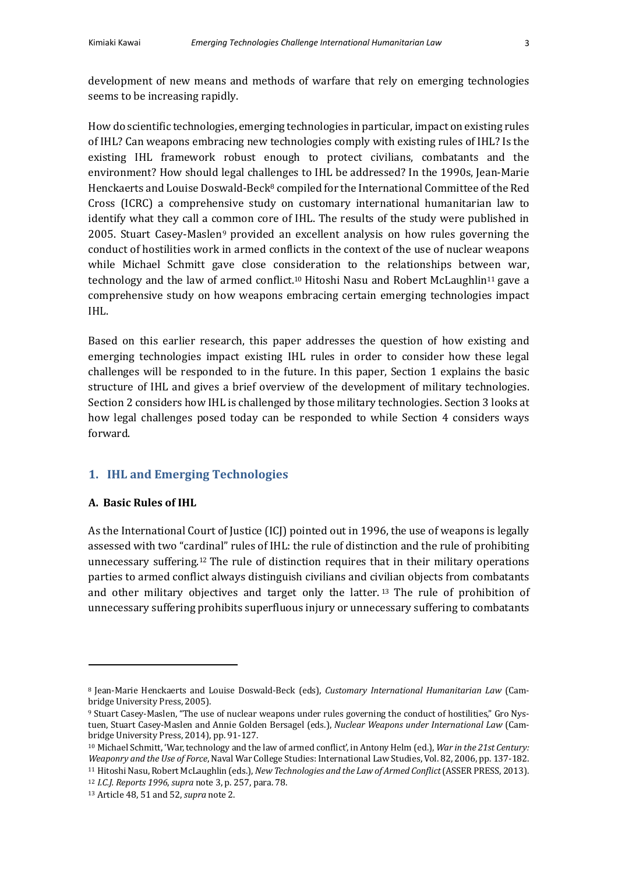development of new means and methods of warfare that rely on emerging technologies seems to be increasing rapidly.

How do scientific technologies, emerging technologies in particular, impact on existing rules of IHL? Can weapons embracing new technologies comply with existing rules of IHL? Is the existing IHL framework robust enough to protect civilians, combatants and the environment? How should legal challenges to IHL be addressed? In the 1990s, Jean-Marie Henckaerts and Louise Doswald-Beck<sup>8</sup> compiled for the International Committee of the Red Cross (ICRC) a comprehensive study on customary international humanitarian law to identify what they call a common core of IHL. The results of the study were published in 2005. Stuart Casey-Maslen<sup>9</sup> provided an excellent analysis on how rules governing the conduct of hostilities work in armed conflicts in the context of the use of nuclear weapons while Michael Schmitt gave close consideration to the relationships between war, technology and the law of armed conflict.<sup>10</sup> Hitoshi Nasu and Robert McLaughlin<sup>11</sup> gave a comprehensive study on how weapons embracing certain emerging technologies impact IHL.

Based on this earlier research, this paper addresses the question of how existing and emerging technologies impact existing IHL rules in order to consider how these legal challenges will be responded to in the future. In this paper, Section 1 explains the basic structure of IHL and gives a brief overview of the development of military technologies. Section 2 considers how IHL is challenged by those military technologies. Section 3 looks at how legal challenges posed today can be responded to while Section 4 considers ways forward.

# **1. IHL and Emerging Technologies**

## **A. Basic Rules of IHL**

As the International Court of Justice (ICJ) pointed out in 1996, the use of weapons is legally assessed with two "cardinal" rules of IHL: the rule of distinction and the rule of prohibiting unnecessary suffering.<sup>12</sup> The rule of distinction requires that in their military operations parties to armed conflict always distinguish civilians and civilian objects from combatants and other military objectives and target only the latter.  $13$  The rule of prohibition of unnecessary suffering prohibits superfluous injury or unnecessary suffering to combatants

<sup>&</sup>lt;sup>8</sup> Jean-Marie Henckaerts and Louise Doswald-Beck (eds), *Customary International Humanitarian Law* (Cambridge University Press, 2005).

<sup>9</sup> Stuart Casey-Maslen, "The use of nuclear weapons under rules governing the conduct of hostilities," Gro Nystuen, Stuart Casey-Maslen and Annie Golden Bersagel (eds.), *Nuclear Weapons under International Law* (Cambridge University Press, 2014), pp. 91-127.

<sup>&</sup>lt;sup>10</sup> Michael Schmitt, 'War, technology and the law of armed conflict', in Antony Helm (ed.), *War in the 21st Century:* Weaponry and the Use of Force, Naval War College Studies: International Law Studies, Vol. 82, 2006, pp. 137-182.

<sup>11</sup> Hitoshi Nasu, Robert McLaughlin (eds.), *New Technologies and the Law of Armed Conflict* (ASSER PRESS, 2013).

<sup>12</sup> *I.C.J. Reports 1996*, *supra* note 3, p. 257, para. 78.

<sup>13</sup> Article 48, 51 and 52, *supra* note 2.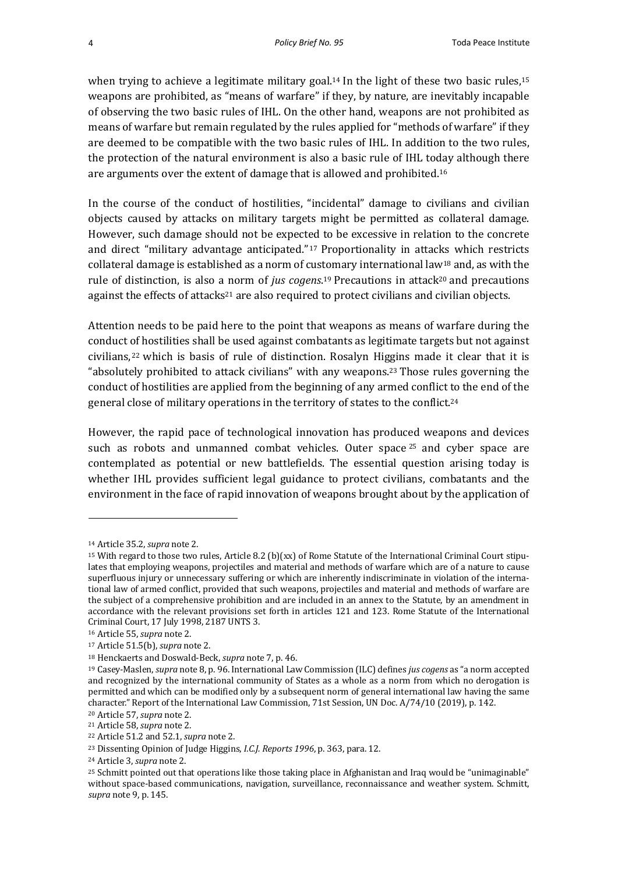when trying to achieve a legitimate military goal.<sup>14</sup> In the light of these two basic rules,<sup>15</sup> weapons are prohibited, as "means of warfare" if they, by nature, are inevitably incapable of observing the two basic rules of IHL. On the other hand, weapons are not prohibited as means of warfare but remain regulated by the rules applied for "methods of warfare" if they are deemed to be compatible with the two basic rules of IHL. In addition to the two rules, the protection of the natural environment is also a basic rule of IHL today although there are arguments over the extent of damage that is allowed and prohibited.<sup>16</sup>

In the course of the conduct of hostilities, "incidental" damage to civilians and civilian objects caused by attacks on military targets might be permitted as collateral damage. However, such damage should not be expected to be excessive in relation to the concrete and direct "military advantage anticipated."<sup>17</sup> Proportionality in attacks which restricts collateral damage is established as a norm of customary international law<sup>18</sup> and, as with the rule of distinction, is also a norm of *jus cogens*.<sup>19</sup> Precautions in attack<sup>20</sup> and precautions against the effects of attacks<sup>21</sup> are also required to protect civilians and civilian objects.

Attention needs to be paid here to the point that weapons as means of warfare during the conduct of hostilities shall be used against combatants as legitimate targets but not against civilians,<sup>22</sup> which is basis of rule of distinction. Rosalyn Higgins made it clear that it is "absolutely prohibited to attack civilians" with any weapons.<sup>23</sup> Those rules governing the conduct of hostilities are applied from the beginning of any armed conflict to the end of the general close of military operations in the territory of states to the conflict.<sup>24</sup>

However, the rapid pace of technological innovation has produced weapons and devices such as robots and unmanned combat vehicles. Outer space  $25$  and cyber space are contemplated as potential or new battlefields. The essential question arising today is whether IHL provides sufficient legal guidance to protect civilians, combatants and the environment in the face of rapid innovation of weapons brought about by the application of

<sup>14</sup> Article 35.2, *supra* note 2.

<sup>&</sup>lt;sup>15</sup> With regard to those two rules, Article 8.2 (b)(xx) of Rome Statute of the International Criminal Court stipulates that employing weapons, projectiles and material and methods of warfare which are of a nature to cause superfluous injury or unnecessary suffering or which are inherently indiscriminate in violation of the international law of armed conflict, provided that such weapons, projectiles and material and methods of warfare are the subject of a comprehensive prohibition and are included in an annex to the Statute, by an amendment in accordance with the relevant provisions set forth in articles 121 and 123. Rome Statute of the International Criminal Court, 17 July 1998, 2187 UNTS 3.

<sup>16</sup> Article 55, *supra* note 2.

<sup>17</sup> Article 51.5(b), *supra* note 2.

<sup>18</sup> Henckaerts and Doswald-Beck, *supra* note 7, p. 46.

<sup>&</sup>lt;sup>19</sup> Casey-Maslen, *supra* note 8, p. 96. International Law Commission (ILC) defines *jus cogens* as "a norm accepted and recognized by the international community of States as a whole as a norm from which no derogation is permitted and which can be modified only by a subsequent norm of general international law having the same character." Report of the International Law Commission, 71st Session, UN Doc. A/74/10 (2019), p. 142.

<sup>&</sup>lt;sup>20</sup> Article 57, *supra* note 2.

<sup>&</sup>lt;sup>21</sup> Article 58, *supra* note 2.

<sup>22</sup> Article 51.2 and 52.1, *supra* note 2.

<sup>&</sup>lt;sup>23</sup> Dissenting Opinion of Judge Higgins, *I.C.J. Reports* 1996, p. 363, para. 12.

<sup>24</sup> Article 3, *supra* note 2.

<sup>&</sup>lt;sup>25</sup> Schmitt pointed out that operations like those taking place in Afghanistan and Iraq would be "unimaginable" without space-based communications, navigation, surveillance, reconnaissance and weather system. Schmitt, *supra* note 9, p. 145.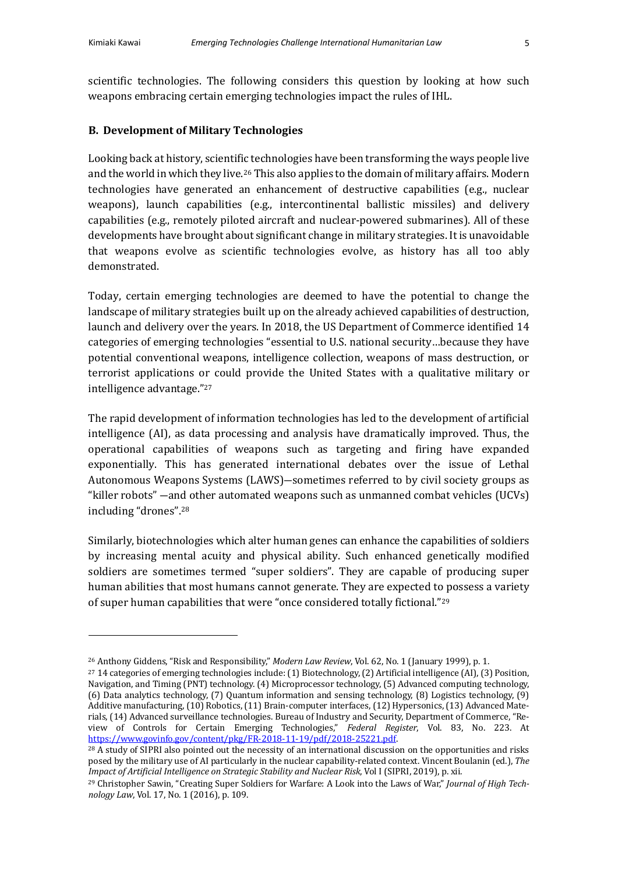scientific technologies. The following considers this question by looking at how such weapons embracing certain emerging technologies impact the rules of IHL.

## **B. Development of Military Technologies**

Looking back at history, scientific technologies have been transforming the ways people live and the world in which they live.<sup>26</sup> This also applies to the domain of military affairs. Modern technologies have generated an enhancement of destructive capabilities (e.g., nuclear weapons), launch capabilities (e.g., intercontinental ballistic missiles) and delivery capabilities (e.g., remotely piloted aircraft and nuclear-powered submarines). All of these developments have brought about significant change in military strategies. It is unavoidable that weapons evolve as scientific technologies evolve, as history has all too ably demonstrated.

Today, certain emerging technologies are deemed to have the potential to change the landscape of military strategies built up on the already achieved capabilities of destruction, launch and delivery over the years. In 2018, the US Department of Commerce identified 14 categories of emerging technologies "essential to U.S. national security...because they have potential conventional weapons, intelligence collection, weapons of mass destruction, or terrorist applications or could provide the United States with a qualitative military or intelligence advantage."27

The rapid development of information technologies has led to the development of artificial intelligence (AI), as data processing and analysis have dramatically improved. Thus, the operational capabilities of weapons such as targeting and firing have expanded exponentially. This has generated international debates over the issue of Lethal Autonomous Weapons Systems (LAWS)—sometimes referred to by civil society groups as "killer robots"  $-$  and other automated weapons such as unmanned combat vehicles (UCVs) including "drones".<sup>28</sup>

Similarly, biotechnologies which alter human genes can enhance the capabilities of soldiers by increasing mental acuity and physical ability. Such enhanced genetically modified soldiers are sometimes termed "super soldiers". They are capable of producing super human abilities that most humans cannot generate. They are expected to possess a variety of super human capabilities that were "once considered totally fictional."<sup>29</sup>

<sup>&</sup>lt;sup>26</sup> Anthony Giddens, "Risk and Responsibility," *Modern Law Review*, Vol. 62, No. 1 (January 1999), p. 1.

 $27$  14 categories of emerging technologies include: (1) Biotechnology, (2) Artificial intelligence (AI), (3) Position, Navigation, and Timing (PNT) technology. (4) Microprocessor technology, (5) Advanced computing technology, (6) Data analytics technology, (7) Quantum information and sensing technology, (8) Logistics technology, (9) Additive manufacturing, (10) Robotics, (11) Brain-computer interfaces, (12) Hypersonics, (13) Advanced Materials, (14) Advanced surveillance technologies. Bureau of Industry and Security, Department of Commerce, "Review of Controls for Certain Emerging Technologies," *Federal Register*, Vol. 83, No. 223. At https://www.govinfo.gov/content/pkg/FR-2018-11-19/pdf/2018-25221.pdf.

<sup>&</sup>lt;sup>28</sup> A study of SIPRI also pointed out the necessity of an international discussion on the opportunities and risks posed by the military use of AI particularly in the nuclear capability-related context. Vincent Boulanin (ed.), *The Impact of Artificial Intelligence on Strategic Stability and Nuclear Risk, Vol I (SIPRI, 2019), p. xii.* 

<sup>&</sup>lt;sup>29</sup> Christopher Sawin, "Creating Super Soldiers for Warfare: A Look into the Laws of War," *Journal of High Technology Law*, Vol. 17, No. 1 (2016), p. 109.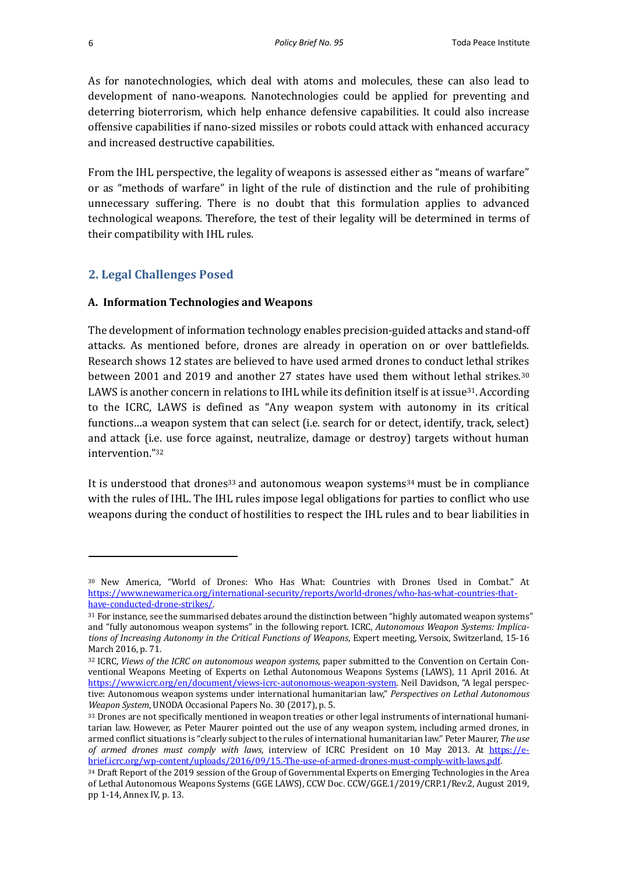As for nanotechnologies, which deal with atoms and molecules, these can also lead to development of nano-weapons. Nanotechnologies could be applied for preventing and deterring bioterrorism, which help enhance defensive capabilities. It could also increase offensive capabilities if nano-sized missiles or robots could attack with enhanced accuracy and increased destructive capabilities.

From the IHL perspective, the legality of weapons is assessed either as "means of warfare" or as "methods of warfare" in light of the rule of distinction and the rule of prohibiting unnecessary suffering. There is no doubt that this formulation applies to advanced technological weapons. Therefore, the test of their legality will be determined in terms of their compatibility with IHL rules.

# **2. Legal Challenges Posed**

### **A. Information Technologies and Weapons**

The development of information technology enables precision-guided attacks and stand-off attacks. As mentioned before, drones are already in operation on or over battlefields. Research shows 12 states are believed to have used armed drones to conduct lethal strikes between 2001 and 2019 and another 27 states have used them without lethal strikes.<sup>30</sup> LAWS is another concern in relations to IHL while its definition itself is at issue<sup>31</sup>. According to the ICRC, LAWS is defined as "Any weapon system with autonomy in its critical functions...a weapon system that can select (i.e. search for or detect, identify, track, select) and attack (i.e. use force against, neutralize, damage or destroy) targets without human intervention."32

It is understood that drones<sup>33</sup> and autonomous weapon systems<sup>34</sup> must be in compliance with the rules of IHL. The IHL rules impose legal obligations for parties to conflict who use weapons during the conduct of hostilities to respect the IHL rules and to bear liabilities in

<sup>&</sup>lt;sup>30</sup> New America, "World of Drones: Who Has What: Countries with Drones Used in Combat." At https://www.newamerica.org/international-security/reports/world-drones/who-has-what-countries-thathave-conducted-drone-strikes/.

<sup>31</sup> For instance, see the summarised debates around the distinction between "highly automated weapon systems" and "fully autonomous weapon systems" in the following report. ICRC, *Autonomous Weapon Systems: Implica*tions of Increasing Autonomy in the Critical Functions of Weapons, Expert meeting, Versoix, Switzerland, 15-16 March 2016, p. 71.

<sup>32</sup> ICRC, *Views of the ICRC on autonomous weapon systems*, paper submitted to the Convention on Certain Conventional Weapons Meeting of Experts on Lethal Autonomous Weapons Systems (LAWS), 11 April 2016. At https://www.icrc.org/en/document/views-icrc-autonomous-weapon-system. Neil Davidson, "A legal perspective: Autonomous weapon systems under international humanitarian law," Perspectives on Lethal Autonomous *Weapon System, UNODA Occasional Papers No.* 30 (2017), p. 5.

<sup>33</sup> Drones are not specifically mentioned in weapon treaties or other legal instruments of international humanitarian law. However, as Peter Maurer pointed out the use of any weapon system, including armed drones, in armed conflict situations is "clearly subject to the rules of international humanitarian law." Peter Maurer, The use *of armed drones must comply with laws*, interview of ICRC President on 10 May 2013. At https://ebrief.icrc.org/wp-content/uploads/2016/09/15.-The-use-of-armed-drones-must-comply-with-laws.pdf.

<sup>34</sup> Draft Report of the 2019 session of the Group of Governmental Experts on Emerging Technologies in the Area of Lethal Autonomous Weapons Systems (GGE LAWS), CCW Doc. CCW/GGE.1/2019/CRP.1/Rev.2, August 2019, pp 1-14, Annex IV, p. 13.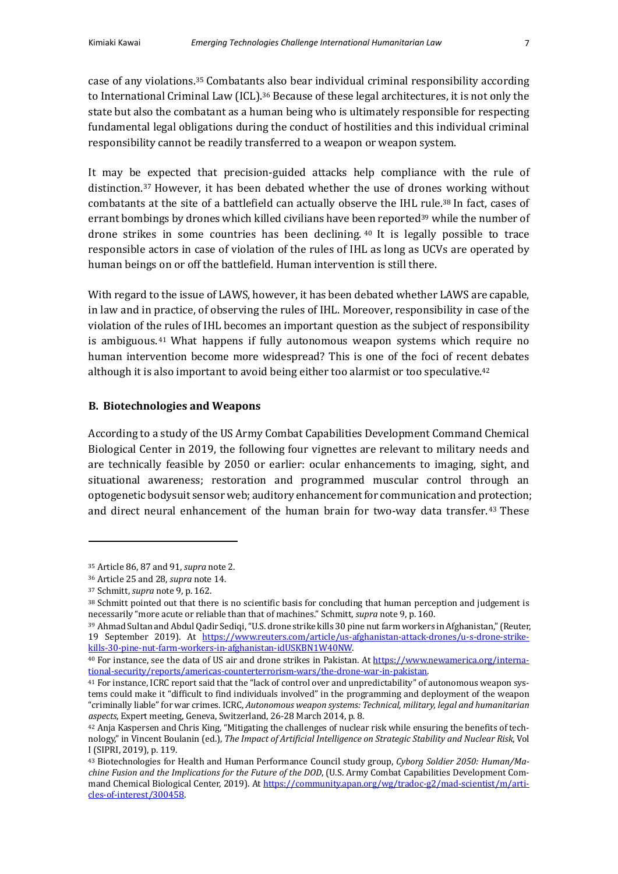case of any violations.<sup>35</sup> Combatants also bear individual criminal responsibility according to International Criminal Law (ICL).<sup>36</sup> Because of these legal architectures, it is not only the state but also the combatant as a human being who is ultimately responsible for respecting fundamental legal obligations during the conduct of hostilities and this individual criminal responsibility cannot be readily transferred to a weapon or weapon system.

It may be expected that precision-guided attacks help compliance with the rule of distinction.<sup>37</sup> However, it has been debated whether the use of drones working without combatants at the site of a battlefield can actually observe the IHL rule.<sup>38</sup> In fact, cases of errant bombings by drones which killed civilians have been reported<sup>39</sup> while the number of drone strikes in some countries has been declining.  $40$  It is legally possible to trace responsible actors in case of violation of the rules of IHL as long as UCVs are operated by human beings on or off the battlefield. Human intervention is still there.

With regard to the issue of LAWS, however, it has been debated whether LAWS are capable, in law and in practice, of observing the rules of IHL. Moreover, responsibility in case of the violation of the rules of IHL becomes an important question as the subject of responsibility is ambiguous.<sup>41</sup> What happens if fully autonomous weapon systems which require no human intervention become more widespread? This is one of the foci of recent debates although it is also important to avoid being either too alarmist or too speculative.<sup>42</sup>

# **B. Biotechnologies and Weapons**

According to a study of the US Army Combat Capabilities Development Command Chemical Biological Center in 2019, the following four vignettes are relevant to military needs and are technically feasible by 2050 or earlier: ocular enhancements to imaging, sight, and situational awareness; restoration and programmed muscular control through an optogenetic bodysuit sensor web; auditory enhancement for communication and protection; and direct neural enhancement of the human brain for two-way data transfer.<sup>43</sup> These

<sup>&</sup>lt;sup>35</sup> Article 86, 87 and 91, *supra* note 2.

<sup>&</sup>lt;sup>36</sup> Article 25 and 28, *supra* note 14.

<sup>&</sup>lt;sup>37</sup> Schmitt, *supra* note 9, p. 162.

<sup>38</sup> Schmitt pointed out that there is no scientific basis for concluding that human perception and judgement is necessarily "more acute or reliable than that of machines." Schmitt, *supra* note 9, p. 160.

<sup>39</sup> Ahmad Sultan and Abdul Qadir Sediqi, "U.S. drone strike kills 30 pine nut farm workers in Afghanistan," (Reuter, 19 September 2019). At https://www.reuters.com/article/us-afghanistan-attack-drones/u-s-drone-strikekills-30-pine-nut-farm-workers-in-afghanistan-idUSKBN1W40NW.

<sup>&</sup>lt;sup>40</sup> For instance, see the data of US air and drone strikes in Pakistan. At https://www.newamerica.org/international-security/reports/americas-counterterrorism-wars/the-drone-war-in-pakistan.

<sup>&</sup>lt;sup>41</sup> For instance, ICRC report said that the "lack of control over and unpredictability" of autonomous weapon systems could make it "difficult to find individuals involved" in the programming and deployment of the weapon "criminally liable" for war crimes. ICRC, *Autonomous weapon systems: Technical, military, legal and humanitarian* aspects, Expert meeting, Geneva, Switzerland, 26-28 March 2014, p. 8.

 $42$  Anja Kaspersen and Chris King, "Mitigating the challenges of nuclear risk while ensuring the benefits of technology," in Vincent Boulanin (ed.), *The Impact of Artificial Intelligence on Strategic Stability and Nuclear Risk*, Vol I (SIPRI, 2019), p. 119.

<sup>&</sup>lt;sup>43</sup> Biotechnologies for Health and Human Performance Council study group, Cyborg Soldier 2050: Human/Ma*chine Fusion and the Implications for the Future of the DOD*, (U.S. Army Combat Capabilities Development Command Chemical Biological Center, 2019). At https://community.apan.org/wg/tradoc-g2/mad-scientist/m/articles-of-interest/300458.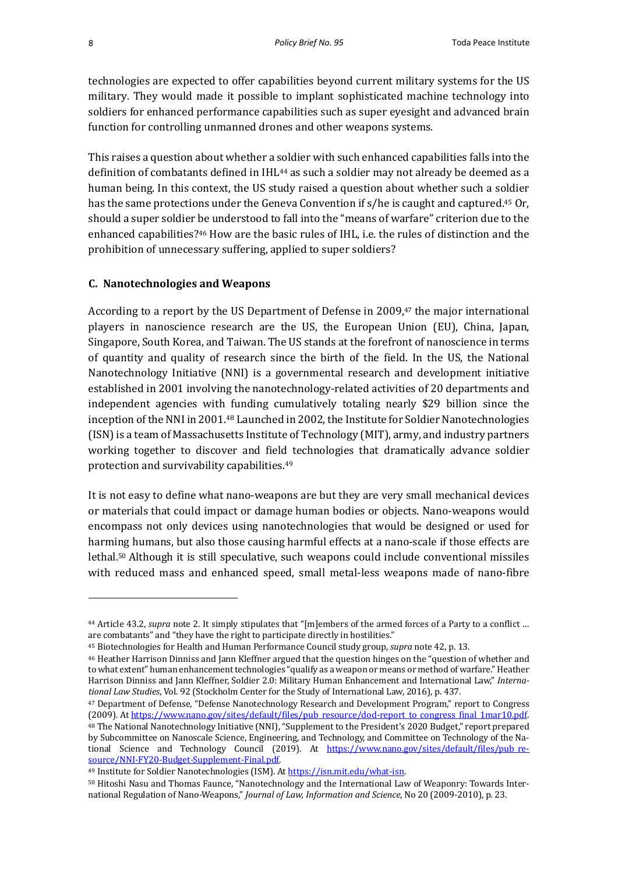technologies are expected to offer capabilities beyond current military systems for the US military. They would made it possible to implant sophisticated machine technology into soldiers for enhanced performance capabilities such as super eyesight and advanced brain function for controlling unmanned drones and other weapons systems.

This raises a question about whether a soldier with such enhanced capabilities falls into the definition of combatants defined in IHL<sup>44</sup> as such a soldier may not already be deemed as a human being. In this context, the US study raised a question about whether such a soldier has the same protections under the Geneva Convention if  $s/he$  is caught and captured.<sup>45</sup> Or, should a super soldier be understood to fall into the "means of warfare" criterion due to the enhanced capabilities?<sup>46</sup> How are the basic rules of IHL, i.e. the rules of distinction and the prohibition of unnecessary suffering, applied to super soldiers?

#### **C. Nanotechnologies and Weapons**

According to a report by the US Department of Defense in 2009, $47$  the major international players in nanoscience research are the US, the European Union (EU), China, Japan, Singapore, South Korea, and Taiwan. The US stands at the forefront of nanoscience in terms of quantity and quality of research since the birth of the field. In the US, the National Nanotechnology Initiative (NNI) is a governmental research and development initiative established in 2001 involving the nanotechnology-related activities of 20 departments and independent agencies with funding cumulatively totaling nearly \$29 billion since the inception of the NNI in 2001.<sup>48</sup> Launched in 2002, the Institute for Soldier Nanotechnologies (ISN) is a team of Massachusetts Institute of Technology (MIT), army, and industry partners working together to discover and field technologies that dramatically advance soldier protection and survivability capabilities.<sup>49</sup>

It is not easy to define what nano-weapons are but they are very small mechanical devices or materials that could impact or damage human bodies or objects. Nano-weapons would encompass not only devices using nanotechnologies that would be designed or used for harming humans, but also those causing harmful effects at a nano-scale if those effects are lethal.<sup>50</sup> Although it is still speculative, such weapons could include conventional missiles with reduced mass and enhanced speed, small metal-less weapons made of nano-fibre

<sup>&</sup>lt;sup>44</sup> Article 43.2, *supra* note 2. It simply stipulates that "[m]embers of the armed forces of a Party to a conflict ... are combatants" and "they have the right to participate directly in hostilities."

<sup>&</sup>lt;sup>45</sup> Biotechnologies for Health and Human Performance Council study group, *supra* note 42, p. 13.

<sup>&</sup>lt;sup>46</sup> Heather Harrison Dinniss and Jann Kleffner argued that the question hinges on the "question of whether and to what extent" human enhancement technologies "qualify as a weapon or means or method of warfare." Heather Harrison Dinniss and Jann Kleffner, Soldier 2.0: Military Human Enhancement and International Law," *International Law Studies*, Vol. 92 (Stockholm Center for the Study of International Law, 2016), p. 437.

<sup>&</sup>lt;sup>47</sup> Department of Defense, "Defense Nanotechnology Research and Development Program," report to Congress (2009). At https://www.nano.gov/sites/default/files/pub\_resource/dod-report\_to\_congress\_final\_1mar10.pdf. <sup>48</sup> The National Nanotechnology Initiative (NNI), "Supplement to the President's 2020 Budget," report prepared by Subcommittee on Nanoscale Science, Engineering, and Technology, and Committee on Technology of the National Science and Technology Council (2019). At https://www.nano.gov/sites/default/files/pub\_resource/NNI-FY20-Budget-Supplement-Final.pdf.

<sup>49</sup> Institute for Soldier Nanotechnologies (ISM). At https://isn.mit.edu/what-isn.

<sup>50</sup> Hitoshi Nasu and Thomas Faunce, "Nanotechnology and the International Law of Weaponry: Towards International Regulation of Nano-Weapons," *Journal of Law, Information and Science*, No 20 (2009-2010), p. 23.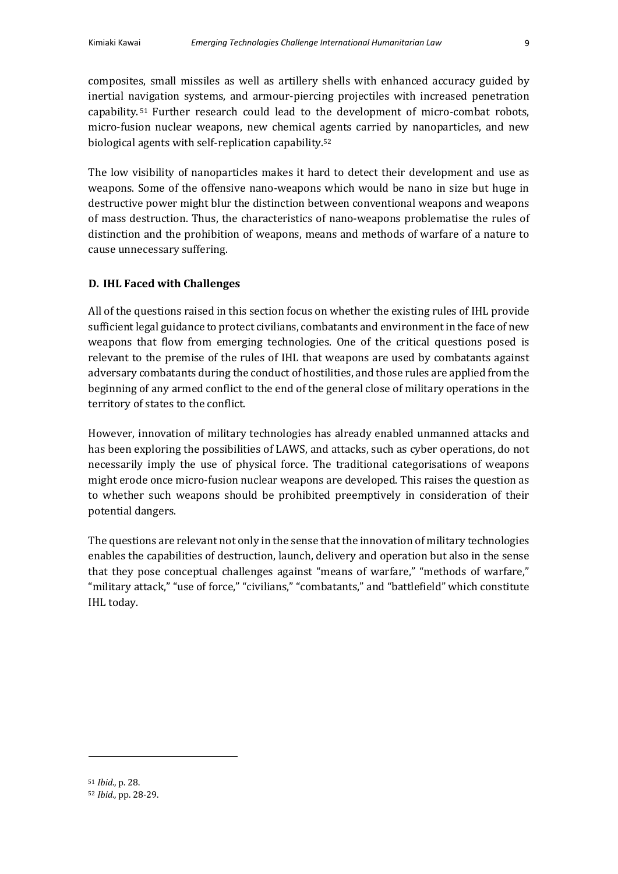composites, small missiles as well as artillery shells with enhanced accuracy guided by inertial navigation systems, and armour-piercing projectiles with increased penetration capability.<sup>51</sup> Further research could lead to the development of micro-combat robots, micro-fusion nuclear weapons, new chemical agents carried by nanoparticles, and new biological agents with self-replication capability.<sup>52</sup>

The low visibility of nanoparticles makes it hard to detect their development and use as weapons. Some of the offensive nano-weapons which would be nano in size but huge in destructive power might blur the distinction between conventional weapons and weapons of mass destruction. Thus, the characteristics of nano-weapons problematise the rules of distinction and the prohibition of weapons, means and methods of warfare of a nature to cause unnecessary suffering.

## **D. IHL Faced with Challenges**

All of the questions raised in this section focus on whether the existing rules of IHL provide sufficient legal guidance to protect civilians, combatants and environment in the face of new weapons that flow from emerging technologies. One of the critical questions posed is relevant to the premise of the rules of IHL that weapons are used by combatants against adversary combatants during the conduct of hostilities, and those rules are applied from the beginning of any armed conflict to the end of the general close of military operations in the territory of states to the conflict.

However, innovation of military technologies has already enabled unmanned attacks and has been exploring the possibilities of LAWS, and attacks, such as cyber operations, do not necessarily imply the use of physical force. The traditional categorisations of weapons might erode once micro-fusion nuclear weapons are developed. This raises the question as to whether such weapons should be prohibited preemptively in consideration of their potential dangers.

The questions are relevant not only in the sense that the innovation of military technologies enables the capabilities of destruction, launch, delivery and operation but also in the sense that they pose conceptual challenges against "means of warfare," "methods of warfare," "military attack," "use of force," "civilians," "combatants," and "battlefield" which constitute IHL today.

<sup>51</sup> *Ibid*., p. 28.

<sup>52</sup> *Ibid.*, pp. 28-29.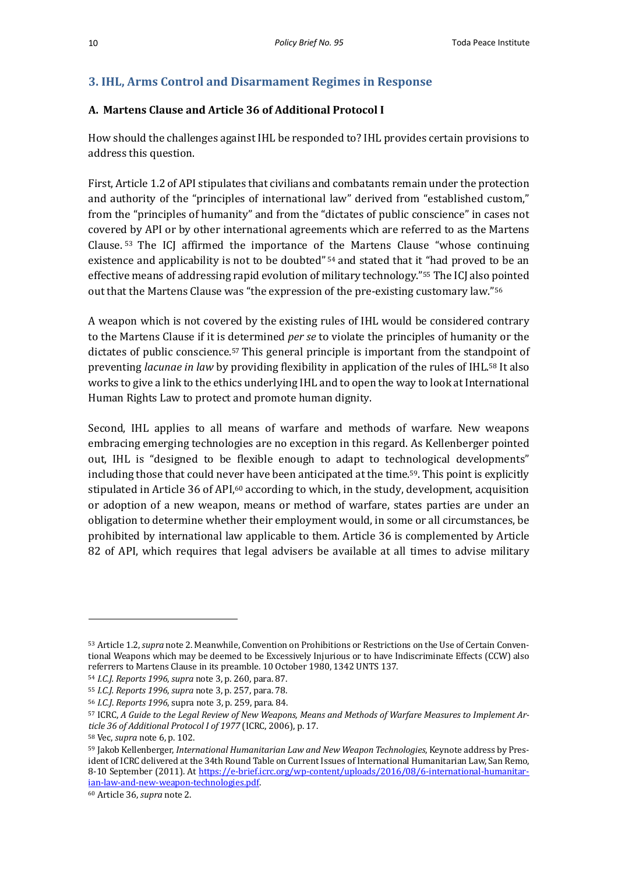# **3. IHL, Arms Control and Disarmament Regimes in Response**

# **A. Martens Clause and Article 36 of Additional Protocol I**

How should the challenges against IHL be responded to? IHL provides certain provisions to address this question.

First, Article 1.2 of API stipulates that civilians and combatants remain under the protection and authority of the "principles of international law" derived from "established custom," from the "principles of humanity" and from the "dictates of public conscience" in cases not covered by API or by other international agreements which are referred to as the Martens Clause.  $53$  The ICJ affirmed the importance of the Martens Clause "whose continuing existence and applicability is not to be doubted"<sup>54</sup> and stated that it "had proved to be an effective means of addressing rapid evolution of military technology."<sup>55</sup> The ICJ also pointed out that the Martens Clause was "the expression of the pre-existing customary law."<sup>56</sup>

A weapon which is not covered by the existing rules of IHL would be considered contrary to the Martens Clause if it is determined *per se* to violate the principles of humanity or the dictates of public conscience.<sup>57</sup> This general principle is important from the standpoint of preventing *lacunae in law* by providing flexibility in application of the rules of IHL.<sup>58</sup> It also works to give a link to the ethics underlying IHL and to open the way to look at International Human Rights Law to protect and promote human dignity.

Second, IHL applies to all means of warfare and methods of warfare. New weapons embracing emerging technologies are no exception in this regard. As Kellenberger pointed out, IHL is "designed to be flexible enough to adapt to technological developments" including those that could never have been anticipated at the time.<sup>59</sup>. This point is explicitly stipulated in Article 36 of API,<sup>60</sup> according to which, in the study, development, acquisition or adoption of a new weapon, means or method of warfare, states parties are under an obligation to determine whether their employment would, in some or all circumstances, be prohibited by international law applicable to them. Article 36 is complemented by Article 82 of API, which requires that legal advisers be available at all times to advise military

<sup>53</sup> Article 1.2, *supra* note 2. Meanwhile, Convention on Prohibitions or Restrictions on the Use of Certain Conventional Weapons which may be deemed to be Excessively Injurious or to have Indiscriminate Effects (CCW) also referrers to Martens Clause in its preamble. 10 October 1980, 1342 UNTS 137.

<sup>54</sup> *I.C.J. Reports 1996*, *supra* note 3, p. 260, para. 87.

<sup>55</sup> *I.C.J. Reports 1996*, *supra* note 3, p. 257, para. 78.

<sup>56</sup> *I.C.J. Reports* 1996, supra note 3, p. 259, para. 84.

<sup>57</sup> ICRC, A Guide to the Legal Review of New Weapons, Means and Methods of Warfare Measures to Implement Ar*ticle 36 of Additional Protocol I of 1977* (ICRC, 2006), p. 17.

<sup>58</sup> Vec, *supra* note 6, p. 102.

<sup>59</sup> Jakob Kellenberger, *International Humanitarian Law and New Weapon Technologies*, Keynote address by President of ICRC delivered at the 34th Round Table on Current Issues of International Humanitarian Law, San Remo, 8-10 September (2011). At https://e-brief.icrc.org/wp-content/uploads/2016/08/6-international-humanitarian-law-and-new-weapon-technologies.pdf.

<sup>&</sup>lt;sup>60</sup> Article 36, *supra* note 2.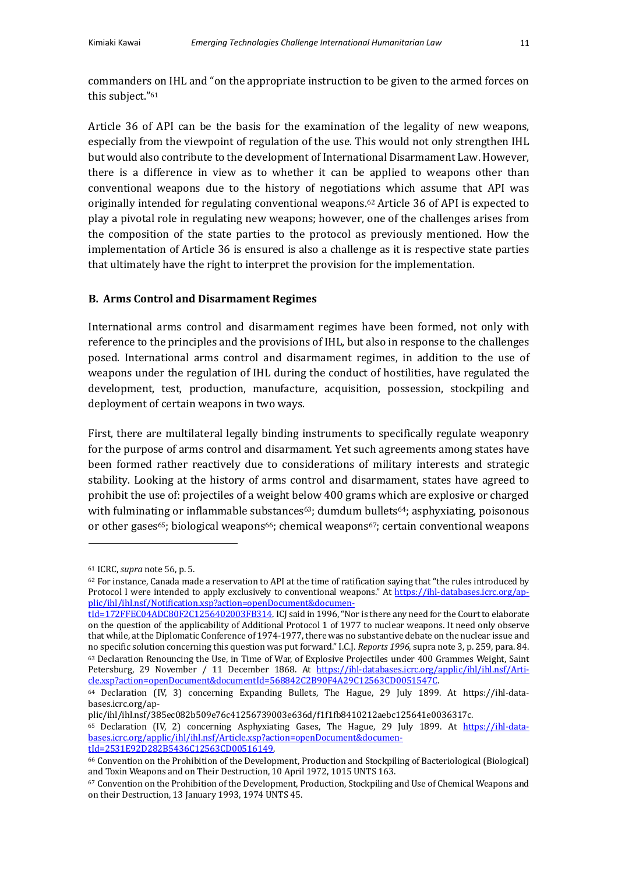commanders on IHL and "on the appropriate instruction to be given to the armed forces on this subject."<sup>61</sup>

Article 36 of API can be the basis for the examination of the legality of new weapons, especially from the viewpoint of regulation of the use. This would not only strengthen IHL but would also contribute to the development of International Disarmament Law. However, there is a difference in view as to whether it can be applied to weapons other than conventional weapons due to the history of negotiations which assume that API was originally intended for regulating conventional weapons.<sup>62</sup> Article 36 of API is expected to play a pivotal role in regulating new weapons; however, one of the challenges arises from the composition of the state parties to the protocol as previously mentioned. How the implementation of Article 36 is ensured is also a challenge as it is respective state parties that ultimately have the right to interpret the provision for the implementation.

# **B. Arms Control and Disarmament Regimes**

International arms control and disarmament regimes have been formed, not only with reference to the principles and the provisions of IHL, but also in response to the challenges posed. International arms control and disarmament regimes, in addition to the use of weapons under the regulation of IHL during the conduct of hostilities, have regulated the development, test, production, manufacture, acquisition, possession, stockpiling and deployment of certain weapons in two ways.

First, there are multilateral legally binding instruments to specifically regulate weaponry for the purpose of arms control and disarmament. Yet such agreements among states have been formed rather reactively due to considerations of military interests and strategic stability. Looking at the history of arms control and disarmament, states have agreed to prohibit the use of: projectiles of a weight below 400 grams which are explosive or charged with fulminating or inflammable substances<sup>63</sup>; dumdum bullets<sup>64</sup>; asphyxiating, poisonous or other gases<sup>65</sup>; biological weapons<sup>66</sup>; chemical weapons<sup>67</sup>; certain conventional weapons

65 Declaration (IV, 2) concerning Asphyxiating Gases, The Hague, 29 July 1899. At https://ihl-databases.icrc.org/applic/ihl/ihl.nsf/Article.xsp?action=openDocument&documentId=2531E92D282B5436C12563CD00516149.

<sup>61</sup> ICRC, *supra* note 56, p. 5.

 $62$  For instance, Canada made a reservation to API at the time of ratification saying that "the rules introduced by Protocol I were intended to apply exclusively to conventional weapons." At https://ihl-databases.icrc.org/applic/ihl/ihl.nsf/Notification.xsp?action=openDocument&documen-

tId=172FFEC04ADC80F2C1256402003FB314. ICJ said in 1996, "Nor is there any need for the Court to elaborate on the question of the applicability of Additional Protocol 1 of 1977 to nuclear weapons. It need only observe that while, at the Diplomatic Conference of 1974-1977, there was no substantive debate on the nuclear issue and no specific solution concerning this question was put forward." I.C.J. *Reports* 1996, supra note 3, p. 259, para. 84. <sup>63</sup> Declaration Renouncing the Use, in Time of War, of Explosive Projectiles under 400 Grammes Weight, Saint Petersburg, 29 November / 11 December 1868. At https://ihl-databases.icrc.org/applic/ihl/ihl.nsf/Article.xsp?action=openDocument&documentId=568842C2B90F4A29C12563CD0051547C.

<sup>&</sup>lt;sup>64</sup> Declaration (IV, 3) concerning Expanding Bullets, The Hague, 29 July 1899. At https://ihl-databases.icrc.org/ap-

plic/ihl/ihl.nsf/385ec082b509e76c41256739003e636d/f1f1fb8410212aebc125641e0036317c.

<sup>&</sup>lt;sup>66</sup> Convention on the Prohibition of the Development, Production and Stockpiling of Bacteriological (Biological) and Toxin Weapons and on Their Destruction, 10 April 1972, 1015 UNTS 163.

<sup>67</sup> Convention on the Prohibition of the Development, Production, Stockpiling and Use of Chemical Weapons and on their Destruction, 13 January 1993, 1974 UNTS 45.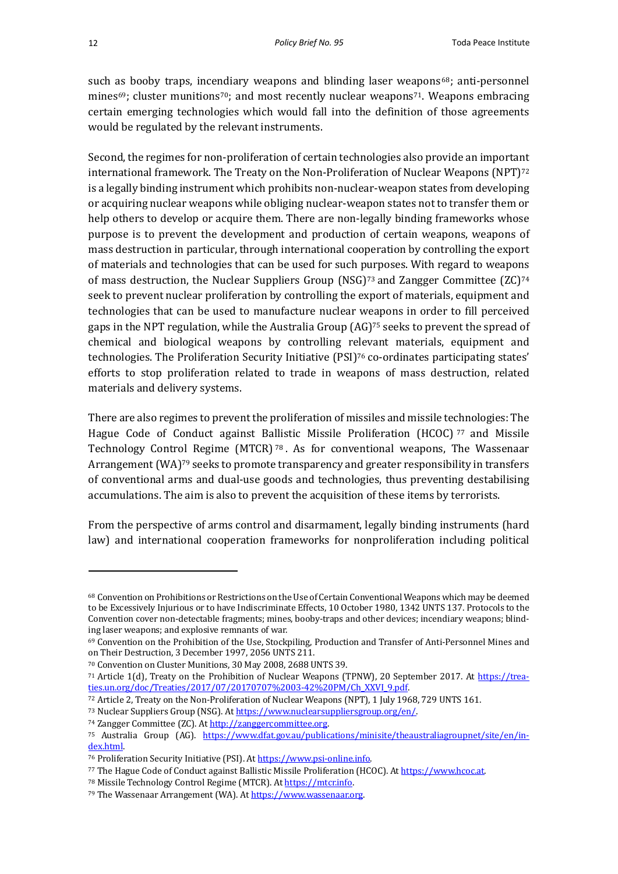such as booby traps, incendiary weapons and blinding laser weapons $68$ ; anti-personnel mines<sup>69</sup>; cluster munitions<sup>70</sup>; and most recently nuclear weapons<sup>71</sup>. Weapons embracing certain emerging technologies which would fall into the definition of those agreements would be regulated by the relevant instruments.

Second, the regimes for non-proliferation of certain technologies also provide an important international framework. The Treaty on the Non-Proliferation of Nuclear Weapons (NPT) $^{72}$ is a legally binding instrument which prohibits non-nuclear-weapon states from developing or acquiring nuclear weapons while obliging nuclear-weapon states not to transfer them or help others to develop or acquire them. There are non-legally binding frameworks whose purpose is to prevent the development and production of certain weapons, weapons of mass destruction in particular, through international cooperation by controlling the export of materials and technologies that can be used for such purposes. With regard to weapons of mass destruction, the Nuclear Suppliers Group (NSG)<sup>73</sup> and Zangger Committee  $(ZC)^{74}$ seek to prevent nuclear proliferation by controlling the export of materials, equipment and technologies that can be used to manufacture nuclear weapons in order to fill perceived gaps in the NPT regulation, while the Australia Group  $(AG)^{75}$  seeks to prevent the spread of chemical and biological weapons by controlling relevant materials, equipment and technologies. The Proliferation Security Initiative  $(PSI)^{76}$  co-ordinates participating states' efforts to stop proliferation related to trade in weapons of mass destruction, related materials and delivery systems.

There are also regimes to prevent the proliferation of missiles and missile technologies: The Hague Code of Conduct against Ballistic Missile Proliferation (HCOC)  $77$  and Missile Technology Control Regime  $(MTCR)$  78. As for conventional weapons, The Wassenaar Arrangement (WA)<sup>79</sup> seeks to promote transparency and greater responsibility in transfers of conventional arms and dual-use goods and technologies, thus preventing destabilising accumulations. The aim is also to prevent the acquisition of these items by terrorists.

From the perspective of arms control and disarmament, legally binding instruments (hard law) and international cooperation frameworks for nonproliferation including political

<sup>&</sup>lt;sup>68</sup> Convention on Prohibitions or Restrictions on the Use of Certain Conventional Weapons which may be deemed to be Excessively Injurious or to have Indiscriminate Effects, 10 October 1980, 1342 UNTS 137. Protocols to the Convention cover non-detectable fragments; mines, booby-traps and other devices; incendiary weapons; blinding laser weapons; and explosive remnants of war.

<sup>69</sup> Convention on the Prohibition of the Use, Stockpiling, Production and Transfer of Anti-Personnel Mines and on Their Destruction, 3 December 1997, 2056 UNTS 211.

<sup>&</sup>lt;sup>70</sup> Convention on Cluster Munitions, 30 May 2008, 2688 UNTS 39.

<sup>71</sup> Article  $1(d)$ , Treaty on the Prohibition of Nuclear Weapons (TPNW), 20 September 2017. At https://treaties.un.org/doc/Treaties/2017/07/20170707%2003-42%20PM/Ch\_XXVI\_9.pdf.

<sup>72</sup> Article 2, Treaty on the Non-Proliferation of Nuclear Weapons (NPT), 1 July 1968, 729 UNTS 161.

<sup>73</sup> Nuclear Suppliers Group (NSG). At https://www.nuclearsuppliersgroup.org/en/.

<sup>74</sup> Zangger Committee (ZC). At http://zanggercommittee.org.

<sup>&</sup>lt;sup>75</sup> Australia Group (AG). https://www.dfat.gov.au/publications/minisite/theaustraliagroupnet/site/en/index.html.

<sup>&</sup>lt;sup>76</sup> Proliferation Security Initiative (PSI). At https://www.psi-online.info.

<sup>77</sup> The Hague Code of Conduct against Ballistic Missile Proliferation (HCOC). At https://www.hcoc.at.

<sup>78</sup> Missile Technology Control Regime (MTCR). At https://mtcr.info.

<sup>79</sup> The Wassenaar Arrangement (WA). At https://www.wassenaar.org.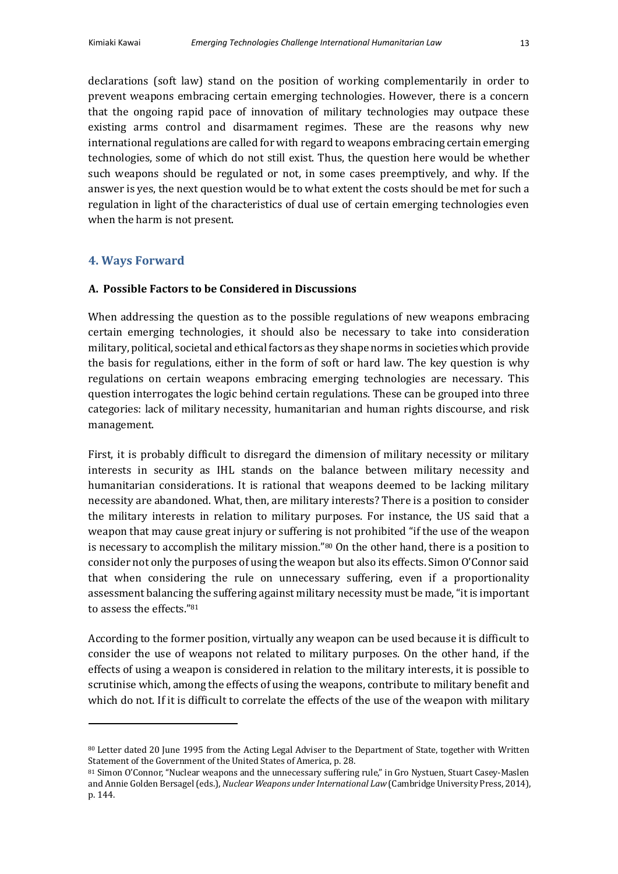declarations (soft law) stand on the position of working complementarily in order to prevent weapons embracing certain emerging technologies. However, there is a concern that the ongoing rapid pace of innovation of military technologies may outpace these existing arms control and disarmament regimes. These are the reasons why new international regulations are called for with regard to weapons embracing certain emerging technologies, some of which do not still exist. Thus, the question here would be whether such weapons should be regulated or not, in some cases preemptively, and why. If the answer is ves, the next question would be to what extent the costs should be met for such a regulation in light of the characteristics of dual use of certain emerging technologies even when the harm is not present.

## **4. Ways Forward**

# **A. Possible Factors to be Considered in Discussions**

When addressing the question as to the possible regulations of new weapons embracing certain emerging technologies, it should also be necessary to take into consideration military, political, societal and ethical factors as they shape norms in societies which provide the basis for regulations, either in the form of soft or hard law. The key question is why regulations on certain weapons embracing emerging technologies are necessary. This question interrogates the logic behind certain regulations. These can be grouped into three categories: lack of military necessity, humanitarian and human rights discourse, and risk management. 

First, it is probably difficult to disregard the dimension of military necessity or military interests in security as IHL stands on the balance between military necessity and humanitarian considerations. It is rational that weapons deemed to be lacking military necessity are abandoned. What, then, are military interests? There is a position to consider the military interests in relation to military purposes. For instance, the US said that a weapon that may cause great injury or suffering is not prohibited "if the use of the weapon is necessary to accomplish the military mission."<sup>80</sup> On the other hand, there is a position to consider not only the purposes of using the weapon but also its effects. Simon O'Connor said that when considering the rule on unnecessary suffering, even if a proportionality assessment balancing the suffering against military necessity must be made, "it is important to assess the effects."81

According to the former position, virtually any weapon can be used because it is difficult to consider the use of weapons not related to military purposes. On the other hand, if the effects of using a weapon is considered in relation to the military interests, it is possible to scrutinise which, among the effects of using the weapons, contribute to military benefit and which do not. If it is difficult to correlate the effects of the use of the weapon with military

<sup>80</sup> Letter dated 20 June 1995 from the Acting Legal Adviser to the Department of State, together with Written Statement of the Government of the United States of America, p. 28.

<sup>81</sup> Simon O'Connor, "Nuclear weapons and the unnecessary suffering rule," in Gro Nystuen, Stuart Casey-Maslen and Annie Golden Bersagel (eds.), *Nuclear Weapons under International Law* (Cambridge University Press, 2014), p. 144.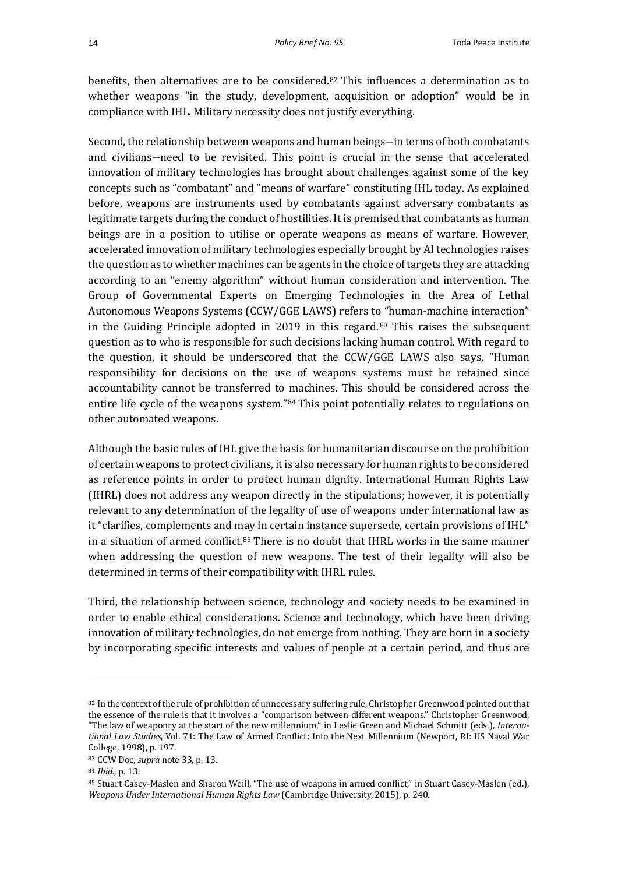benefits, then alternatives are to be considered.<sup>82</sup> This influences a determination as to whether weapons "in the study, development, acquisition or adoption" would be in compliance with IHL. Military necessity does not justify everything.

Second, the relationship between weapons and human beings—in terms of both combatants and civilians–need to be revisited. This point is crucial in the sense that accelerated innovation of military technologies has brought about challenges against some of the key concepts such as "combatant" and "means of warfare" constituting IHL today. As explained before, weapons are instruments used by combatants against adversary combatants as legitimate targets during the conduct of hostilities. It is premised that combatants as human beings are in a position to utilise or operate weapons as means of warfare. However, accelerated innovation of military technologies especially brought by AI technologies raises the question as to whether machines can be agents in the choice of targets they are attacking according to an "enemy algorithm" without human consideration and intervention. The Group of Governmental Experts on Emerging Technologies in the Area of Lethal Autonomous Weapons Systems (CCW/GGE LAWS) refers to "human-machine interaction" in the Guiding Principle adopted in 2019 in this regard.  $83$  This raises the subsequent question as to who is responsible for such decisions lacking human control. With regard to the question, it should be underscored that the CCW/GGE LAWS also says, "Human responsibility for decisions on the use of weapons systems must be retained since accountability cannot be transferred to machines. This should be considered across the entire life cycle of the weapons system."<sup>84</sup> This point potentially relates to regulations on other automated weapons.

Although the basic rules of IHL give the basis for humanitarian discourse on the prohibition of certain weapons to protect civilians, it is also necessary for human rights to be considered as reference points in order to protect human dignity. International Human Rights Law  $(HRL)$  does not address any weapon directly in the stipulations; however, it is potentially relevant to any determination of the legality of use of weapons under international law as it "clarifies, complements and may in certain instance supersede, certain provisions of IHL" in a situation of armed conflict.<sup>85</sup> There is no doubt that IHRL works in the same manner when addressing the question of new weapons. The test of their legality will also be determined in terms of their compatibility with IHRL rules.

Third, the relationship between science, technology and society needs to be examined in order to enable ethical considerations. Science and technology, which have been driving innovation of military technologies, do not emerge from nothing. They are born in a society by incorporating specific interests and values of people at a certain period, and thus are

<sup>82</sup> In the context of the rule of prohibition of unnecessary suffering rule, Christopher Greenwood pointed out that the essence of the rule is that it involves a "comparison between different weapons." Christopher Greenwood, "The law of weaponry at the start of the new millennium," in Leslie Green and Michael Schmitt (eds.), *Interna*tional Law Studies, Vol. 71: The Law of Armed Conflict: Into the Next Millennium (Newport, RI: US Naval War College, 1998), p. 197.

<sup>83</sup> CCW Doc, *supra* note 33, p. 13.

<sup>84</sup> *Ibid.*, p. 13.

<sup>85</sup> Stuart Casey-Maslen and Sharon Weill, "The use of weapons in armed conflict," in Stuart Casey-Maslen (ed.), *Weapons Under International Human Rights Law* (Cambridge University, 2015), p. 240.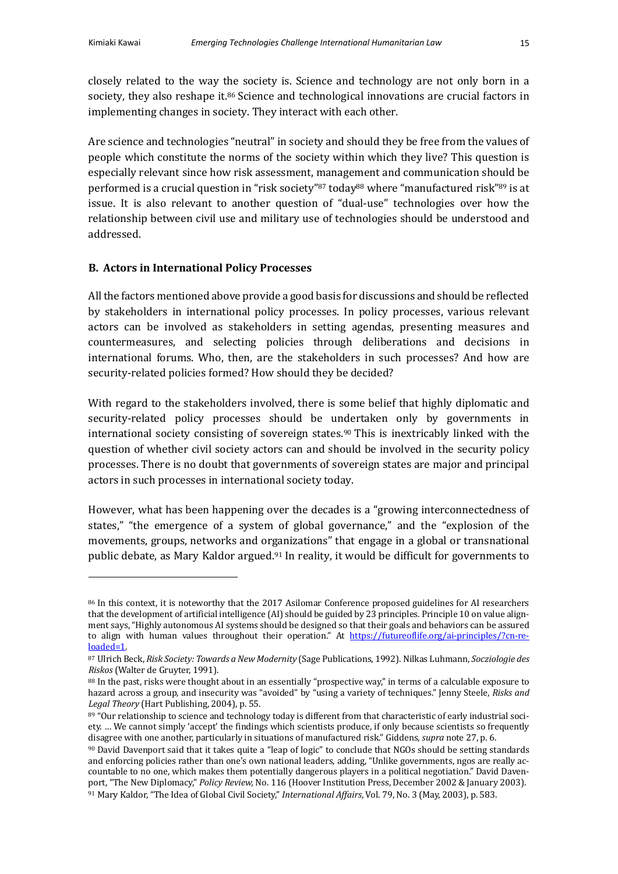closely related to the way the society is. Science and technology are not only born in a society, they also reshape it.<sup>86</sup> Science and technological innovations are crucial factors in implementing changes in society. They interact with each other.

Are science and technologies "neutral" in society and should they be free from the values of people which constitute the norms of the society within which they live? This question is especially relevant since how risk assessment, management and communication should be performed is a crucial question in "risk society"<sup>87</sup> today<sup>88</sup> where "manufactured risk"<sup>89</sup> is at issue. It is also relevant to another question of "dual-use" technologies over how the relationship between civil use and military use of technologies should be understood and addressed.

## **B.** Actors in International Policy Processes

All the factors mentioned above provide a good basis for discussions and should be reflected by stakeholders in international policy processes. In policy processes, various relevant actors can be involved as stakeholders in setting agendas, presenting measures and countermeasures, and selecting policies through deliberations and decisions in international forums. Who, then, are the stakeholders in such processes? And how are security-related policies formed? How should they be decided?

With regard to the stakeholders involved, there is some belief that highly diplomatic and security-related policy processes should be undertaken only by governments in international society consisting of sovereign states.<sup>90</sup> This is inextricably linked with the question of whether civil society actors can and should be involved in the security policy processes. There is no doubt that governments of sovereign states are major and principal actors in such processes in international society today.

However, what has been happening over the decades is a "growing interconnectedness of states," "the emergence of a system of global governance," and the "explosion of the movements, groups, networks and organizations" that engage in a global or transnational public debate, as Mary Kaldor argued.<sup>91</sup> In reality, it would be difficult for governments to

<sup>86</sup> In this context, it is noteworthy that the 2017 Asilomar Conference proposed guidelines for AI researchers that the development of artificial intelligence (AI) should be guided by 23 principles. Principle 10 on value alignment says, "Highly autonomous AI systems should be designed so that their goals and behaviors can be assured to align with human values throughout their operation." At https://futureoflife.org/ai-principles/?cn-reloaded=1.

<sup>87</sup> Ulrich Beck, *Risk Society: Towards a New Modernity* (Sage Publications, 1992). Nilkas Luhmann, *Socziologie des Riskos* (Walter de Gruyter, 1991).

<sup>88</sup> In the past, risks were thought about in an essentially "prospective way," in terms of a calculable exposure to hazard across a group, and insecurity was "avoided" by "using a variety of techniques." Jenny Steele, *Risks and* Legal Theory (Hart Publishing, 2004), p. 55.

<sup>89 &</sup>quot;Our relationship to science and technology today is different from that characteristic of early industrial society. ... We cannot simply 'accept' the findings which scientists produce, if only because scientists so frequently disagree with one another, particularly in situations of manufactured risk." Giddens, *supra* note 27, p. 6.

<sup>90</sup> David Davenport said that it takes quite a "leap of logic" to conclude that NGOs should be setting standards and enforcing policies rather than one's own national leaders, adding, "Unlike governments, ngos are really accountable to no one, which makes them potentially dangerous players in a political negotiation." David Davenport, "The New Diplomacy," *Policy Review, No.* 116 (Hoover Institution Press, December 2002 & January 2003). 91 Mary Kaldor, "The Idea of Global Civil Society," International Affairs, Vol. 79, No. 3 (May, 2003), p. 583.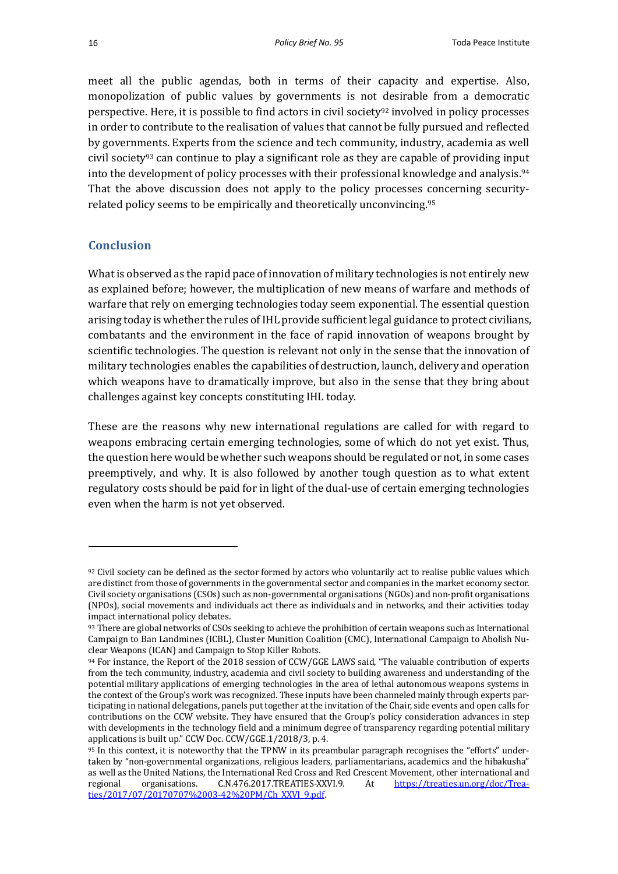meet all the public agendas, both in terms of their capacity and expertise. Also, monopolization of public values by governments is not desirable from a democratic perspective. Here, it is possible to find actors in civil society<sup>92</sup> involved in policy processes in order to contribute to the realisation of values that cannot be fully pursued and reflected by governments. Experts from the science and tech community, industry, academia as well civil society<sup>93</sup> can continue to play a significant role as they are capable of providing input into the development of policy processes with their professional knowledge and analysis.<sup>94</sup> That the above discussion does not apply to the policy processes concerning securityrelated policy seems to be empirically and theoretically unconvincing.<sup>95</sup>

# **Conclusion**

What is observed as the rapid pace of innovation of military technologies is not entirely new as explained before; however, the multiplication of new means of warfare and methods of warfare that rely on emerging technologies today seem exponential. The essential question arising today is whether the rules of IHL provide sufficient legal guidance to protect civilians, combatants and the environment in the face of rapid innovation of weapons brought by scientific technologies. The question is relevant not only in the sense that the innovation of military technologies enables the capabilities of destruction, launch, delivery and operation which weapons have to dramatically improve, but also in the sense that they bring about challenges against key concepts constituting IHL today.

These are the reasons why new international regulations are called for with regard to weapons embracing certain emerging technologies, some of which do not yet exist. Thus, the question here would be whether such weapons should be regulated or not, in some cases preemptively, and why. It is also followed by another tough question as to what extent regulatory costs should be paid for in light of the dual-use of certain emerging technologies even when the harm is not yet observed.

<sup>92</sup> Civil society can be defined as the sector formed by actors who voluntarily act to realise public values which are distinct from those of governments in the governmental sector and companies in the market economy sector. Civil society organisations (CSOs) such as non-governmental organisations (NGOs) and non-profit organisations (NPOs), social movements and individuals act there as individuals and in networks, and their activities today impact international policy debates.

<sup>93</sup> There are global networks of CSOs seeking to achieve the prohibition of certain weapons such as International Campaign to Ban Landmines (ICBL), Cluster Munition Coalition (CMC), International Campaign to Abolish Nuclear Weapons (ICAN) and Campaign to Stop Killer Robots.

<sup>94</sup> For instance, the Report of the 2018 session of CCW/GGE LAWS said, "The valuable contribution of experts from the tech community, industry, academia and civil society to building awareness and understanding of the potential military applications of emerging technologies in the area of lethal autonomous weapons systems in the context of the Group's work was recognized. These inputs have been channeled mainly through experts participating in national delegations, panels put together at the invitation of the Chair, side events and open calls for contributions on the CCW website. They have ensured that the Group's policy consideration advances in step with developments in the technology field and a minimum degree of transparency regarding potential military applications is built up." CCW Doc. CCW/GGE.1/2018/3, p. 4.

<sup>95</sup> In this context, it is noteworthy that the TPNW in its preambular paragraph recognises the "efforts" undertaken by "non-governmental organizations, religious leaders, parliamentarians, academics and the hibakusha" as well as the United Nations, the International Red Cross and Red Crescent Movement, other international and regional organisations. C.N.476.2017.TREATIES-XXVI.9. At https://treaties.un.org/doc/Treaties/2017/07/20170707%2003-42%20PM/Ch\_XXVI\_9.pdf.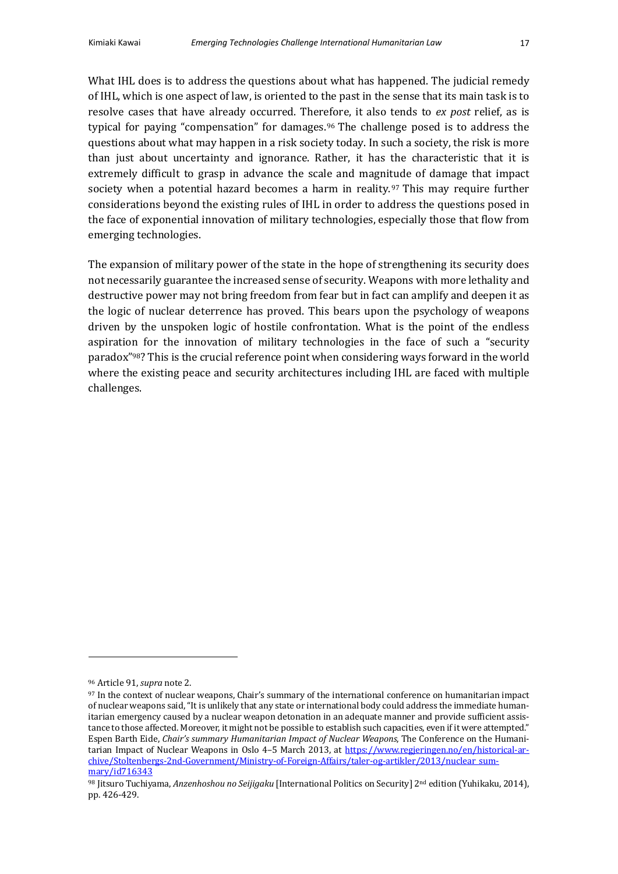What IHL does is to address the questions about what has happened. The judicial remedy of IHL, which is one aspect of law, is oriented to the past in the sense that its main task is to resolve cases that have already occurred. Therefore, it also tends to *ex post* relief, as is typical for paying "compensation" for damages.<sup>96</sup> The challenge posed is to address the questions about what may happen in a risk society today. In such a society, the risk is more than just about uncertainty and ignorance. Rather, it has the characteristic that it is extremely difficult to grasp in advance the scale and magnitude of damage that impact society when a potential hazard becomes a harm in reality.<sup>97</sup> This may require further considerations beyond the existing rules of IHL in order to address the questions posed in the face of exponential innovation of military technologies, especially those that flow from emerging technologies.

The expansion of military power of the state in the hope of strengthening its security does not necessarily guarantee the increased sense of security. Weapons with more lethality and destructive power may not bring freedom from fear but in fact can amplify and deepen it as the logic of nuclear deterrence has proved. This bears upon the psychology of weapons driven by the unspoken logic of hostile confrontation. What is the point of the endless aspiration for the innovation of military technologies in the face of such a "security paradox"<sup>98</sup>? This is the crucial reference point when considering ways forward in the world where the existing peace and security architectures including IHL are faced with multiple challenges.

<sup>&</sup>lt;sup>96</sup> Article 91, *supra* note 2.

<sup>97</sup> In the context of nuclear weapons, Chair's summary of the international conference on humanitarian impact of nuclear weapons said, "It is unlikely that any state or international body could address the immediate humanitarian emergency caused by a nuclear weapon detonation in an adequate manner and provide sufficient assistance to those affected. Moreover, it might not be possible to establish such capacities, even if it were attempted." Espen Barth Eide, *Chair's summary Humanitarian Impact of Nuclear Weapons*, The Conference on the Humanitarian Impact of Nuclear Weapons in Oslo 4–5 March 2013, at https://www.regieringen.no/en/historical-archive/Stoltenbergs-2nd-Government/Ministry-of-Foreign-Affairs/taler-og-artikler/2013/nuclear\_summary/id716343

<sup>98</sup> Jitsuro Tuchiyama, Anzenhoshou no Seijigaku [International Politics on Security] 2<sup>nd</sup> edition (Yuhikaku, 2014), pp. 426-429.